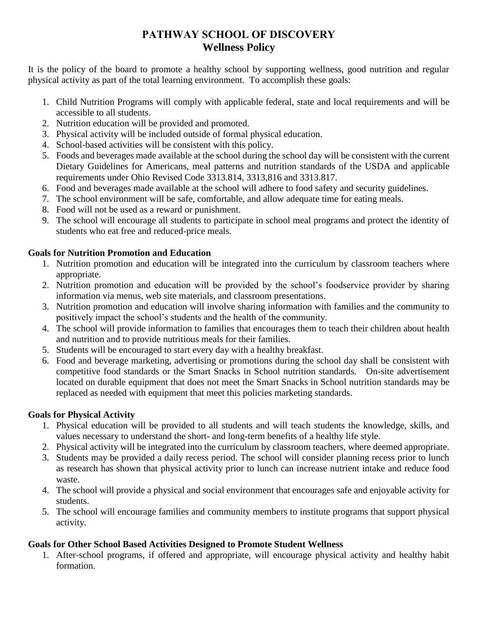# **PATHWAY SCHOOL OF DISCOVERY Wellness Policy**

It is the policy of the board to promote a healthy school by supporting wellness, good nutrition and regular physical activity as part of the total learning environment. To accomplish these goals:

- 1. Child Nutrition Programs will comply with applicable federal, state and local requirements and will be accessible to all students.
- 2. Nutrition education will be provided and promoted.
- 3. Physical activity will be included outside of formal physical education.
- 4. School-based activities will be consistent with this policy.
- 5. Foods and beverages made available at the school during the school day will be consistent with the current Dietary Guidelines for Americans, meal patterns and nutrition standards of the USDA and applicable requirements under Ohio Revised Code 3313.814, 3313,816 and 3313.817.
- 6. Food and beverages made available at the school will adhere to food safety and security guidelines.
- 7. The school environment will be safe, comfortable, and allow adequate time for eating meals.
- 8. Food will not be used as a reward or punishment.
- 9. The school will encourage all students to participate in school meal programs and protect the identity of students who eat free and reduced-price meals.

### **Goals for Nutrition Promotion and Education**

- 1. Nutrition promotion and education will be integrated into the curriculum by classroom teachers where appropriate.
- 2. Nutrition promotion and education will be provided by the school's foodservice provider by sharing information via menus, web site materials, and classroom presentations.
- 3. Nutrition promotion and education will involve sharing information with families and the community to positively impact the school's students and the health of the community.
- 4. The school will provide information to families that encourages them to teach their children about health and nutrition and to provide nutritious meals for their families.
- 5. Students will be encouraged to start every day with a healthy breakfast.
- 6. Food and beverage marketing, advertising or promotions during the school day shall be consistent with competitive food standards or the Smart Snacks in School nutrition standards. On-site advertisement located on durable equipment that does not meet the Smart Snacks in School nutrition standards may be replaced as needed with equipment that meet this policies marketing standards.

## **Goals for Physical Activity**

- 1. Physical education will be provided to all students and will teach students the knowledge, skills, and values necessary to understand the short- and long-term benefits of a healthy life style.
- 2. Physical activity will be integrated into the curriculum by classroom teachers, where deemed appropriate.
- 3. Students may be provided a daily recess period. The school will consider planning recess prior to lunch as research has shown that physical activity prior to lunch can increase nutrient intake and reduce food waste.
- 4. The school will provide a physical and social environment that encourages safe and enjoyable activity for students.
- 5. The school will encourage families and community members to institute programs that support physical activity.

## **Goals for Other School Based Activities Designed to Promote Student Wellness**

1. After-school programs, if offered and appropriate, will encourage physical activity and healthy habit formation.